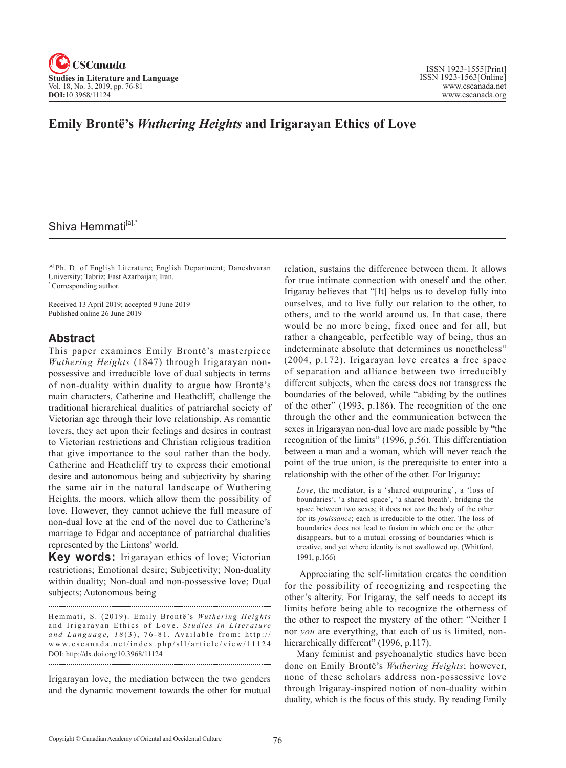

## **Emily Brontë's** *Wuthering Heights* **and Irigarayan Ethics of Love**

# Shiva Hemmati<sup>[a],\*</sup>

[a] Ph. D. of English Literature; English Department; Daneshvaran University; Tabriz; East Azarbaijan; Iran. \* Corresponding author.

Received 13 April 2019; accepted 9 June 2019 Published online 26 June 2019

### **Abstract**

This paper examines Emily Brontë's masterpiece *Wuthering Heights* (1847) through Irigarayan nonpossessive and irreducible love of dual subjects in terms of non-duality within duality to argue how Brontë's main characters, Catherine and Heathcliff, challenge the traditional hierarchical dualities of patriarchal society of Victorian age through their love relationship. As romantic lovers, they act upon their feelings and desires in contrast to Victorian restrictions and Christian religious tradition that give importance to the soul rather than the body. Catherine and Heathcliff try to express their emotional desire and autonomous being and subjectivity by sharing the same air in the natural landscape of Wuthering Heights, the moors, which allow them the possibility of love. However, they cannot achieve the full measure of non-dual love at the end of the novel due to Catherine's marriage to Edgar and acceptance of patriarchal dualities represented by the Lintons' world.

**Key words:** Irigarayan ethics of love; Victorian restrictions; Emotional desire; Subjectivity; Non-duality within duality; Non-dual and non-possessive love; Dual subjects; Autonomous being

Hemmati, S. (2019). Emily Brontë's *Wuthering Heights* and Irigarayan Ethics of Love. Studies in Literature and Language, 18(3), 76-81. Available from: http:// www.cscanada.net/index.php/sll/article/view/ 1 1 1 2 4 DOI: http://dx.doi.org/10.3968/11124

Irigarayan love, the mediation between the two genders and the dynamic movement towards the other for mutual relation, sustains the difference between them. It allows for true intimate connection with oneself and the other. Irigaray believes that "[It] helps us to develop fully into ourselves, and to live fully our relation to the other, to others, and to the world around us. In that case, there would be no more being, fixed once and for all, but rather a changeable, perfectible way of being, thus an indeterminate absolute that determines us nonetheless" (2004, p.172). Irigarayan love creates a free space of separation and alliance between two irreducibly different subjects, when the caress does not transgress the boundaries of the beloved, while "abiding by the outlines of the other" (1993, p.186). The recognition of the one through the other and the communication between the sexes in Irigarayan non-dual love are made possible by "the recognition of the limits" (1996, p.56). This differentiation between a man and a woman, which will never reach the point of the true union, is the prerequisite to enter into a relationship with the other of the other. For Irigaray:

*Love*, the mediator, is a 'shared outpouring', a 'loss of boundaries', 'a shared space', 'a shared breath', bridging the space between two sexes; it does not *use* the body of the other for its *jouissance*; each is irreducible to the other. The loss of boundaries does not lead to fusion in which one or the other disappears, but to a mutual crossing of boundaries which is creative, and yet where identity is not swallowed up. (Whitford, 1991, p.166)

 Appreciating the self-limitation creates the condition for the possibility of recognizing and respecting the other's alterity. For Irigaray, the self needs to accept its limits before being able to recognize the otherness of the other to respect the mystery of the other: "Neither I nor *you* are everything, that each of us is limited, nonhierarchically different" (1996, p.117).

Many feminist and psychoanalytic studies have been done on Emily Brontë's *Wuthering Heights*; however, none of these scholars address non-possessive love through Irigaray-inspired notion of non-duality within duality, which is the focus of this study. By reading Emily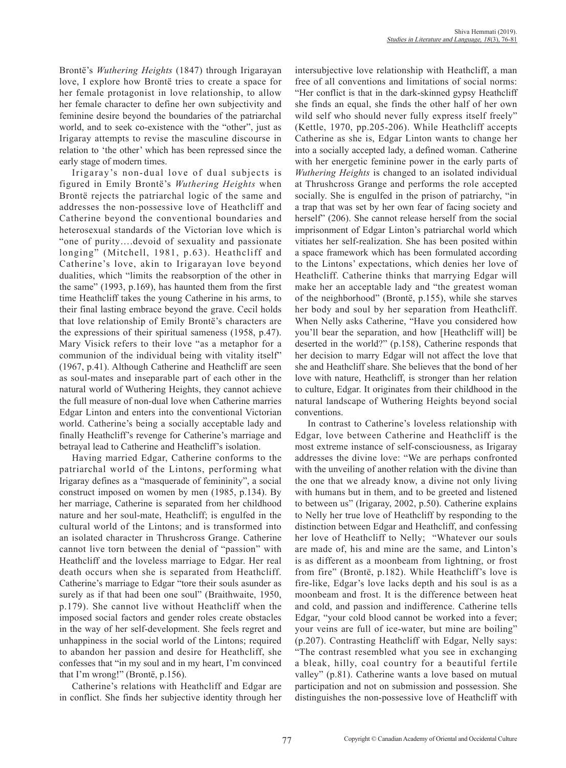Brontë's *Wuthering Heights* (1847) through Irigarayan love, I explore how Brontë tries to create a space for her female protagonist in love relationship, to allow her female character to define her own subjectivity and feminine desire beyond the boundaries of the patriarchal world, and to seek co-existence with the "other", just as Irigaray attempts to revise the masculine discourse in relation to 'the other' which has been repressed since the early stage of modern times.

Irigaray's non-dual love of dual subjects is figured in Emily Brontë's *Wuthering Heights* when Brontë rejects the patriarchal logic of the same and addresses the non-possessive love of Heathcliff and Catherine beyond the conventional boundaries and heterosexual standards of the Victorian love which is "one of purity….devoid of sexuality and passionate longing" (Mitchell, 1981, p.63). Heathcliff and Catherine's love, akin to Irigarayan love beyond dualities, which "limits the reabsorption of the other in the same" (1993, p.169), has haunted them from the first time Heathcliff takes the young Catherine in his arms, to their final lasting embrace beyond the grave. Cecil holds that love relationship of Emily Brontë's characters are the expressions of their spiritual sameness (1958, p.47). Mary Visick refers to their love "as a metaphor for a communion of the individual being with vitality itself" (1967, p.41). Although Catherine and Heathcliff are seen as soul-mates and inseparable part of each other in the natural world of Wuthering Heights, they cannot achieve the full measure of non-dual love when Catherine marries Edgar Linton and enters into the conventional Victorian world. Catherine's being a socially acceptable lady and finally Heathcliff's revenge for Catherine's marriage and betrayal lead to Catherine and Heathcliff's isolation.

Having married Edgar, Catherine conforms to the patriarchal world of the Lintons, performing what Irigaray defines as a "masquerade of femininity", a social construct imposed on women by men (1985, p.134). By her marriage, Catherine is separated from her childhood nature and her soul-mate, Heathcliff; is engulfed in the cultural world of the Lintons; and is transformed into an isolated character in Thrushcross Grange. Catherine cannot live torn between the denial of "passion" with Heathcliff and the loveless marriage to Edgar. Her real death occurs when she is separated from Heathcliff. Catherine's marriage to Edgar "tore their souls asunder as surely as if that had been one soul" (Braithwaite, 1950, p.179). She cannot live without Heathcliff when the imposed social factors and gender roles create obstacles in the way of her self-development. She feels regret and unhappiness in the social world of the Lintons; required to abandon her passion and desire for Heathcliff, she confesses that "in my soul and in my heart, I'm convinced that I'm wrong!" (Brontë, p.156).

Catherine's relations with Heathcliff and Edgar are in conflict. She finds her subjective identity through her intersubjective love relationship with Heathcliff, a man free of all conventions and limitations of social norms: "Her conflict is that in the dark-skinned gypsy Heathcliff she finds an equal, she finds the other half of her own wild self who should never fully express itself freely" (Kettle, 1970, pp.205-206). While Heathcliff accepts Catherine as she is, Edgar Linton wants to change her into a socially accepted lady, a defined woman. Catherine with her energetic feminine power in the early parts of *Wuthering Heights* is changed to an isolated individual at Thrushcross Grange and performs the role accepted socially. She is engulfed in the prison of patriarchy, "in a trap that was set by her own fear of facing society and herself" (206). She cannot release herself from the social imprisonment of Edgar Linton's patriarchal world which vitiates her self-realization. She has been posited within a space framework which has been formulated according to the Lintons' expectations, which denies her love of Heathcliff. Catherine thinks that marrying Edgar will make her an acceptable lady and "the greatest woman of the neighborhood" (Brontë, p.155), while she starves her body and soul by her separation from Heathcliff. When Nelly asks Catherine, "Have you considered how you'll bear the separation, and how [Heathcliff will] be deserted in the world?" (p.158), Catherine responds that her decision to marry Edgar will not affect the love that she and Heathcliff share. She believes that the bond of her love with nature, Heathcliff, is stronger than her relation to culture, Edgar. It originates from their childhood in the natural landscape of Wuthering Heights beyond social conventions.

In contrast to Catherine's loveless relationship with Edgar, love between Catherine and Heathcliff is the most extreme instance of self-consciousness, as Irigaray addresses the divine love: "We are perhaps confronted with the unveiling of another relation with the divine than the one that we already know, a divine not only living with humans but in them, and to be greeted and listened to between us" (Irigaray, 2002, p.50). Catherine explains to Nelly her true love of Heathcliff by responding to the distinction between Edgar and Heathcliff, and confessing her love of Heathcliff to Nelly; "Whatever our souls are made of, his and mine are the same, and Linton's is as different as a moonbeam from lightning, or frost from fire" (Brontë, p.182). While Heathcliff's love is fire-like, Edgar's love lacks depth and his soul is as a moonbeam and frost. It is the difference between heat and cold, and passion and indifference. Catherine tells Edgar, "your cold blood cannot be worked into a fever; your veins are full of ice-water, but mine are boiling" (p.207). Contrasting Heathcliff with Edgar, Nelly says: "The contrast resembled what you see in exchanging a bleak, hilly, coal country for a beautiful fertile valley" (p.81). Catherine wants a love based on mutual participation and not on submission and possession. She distinguishes the non-possessive love of Heathcliff with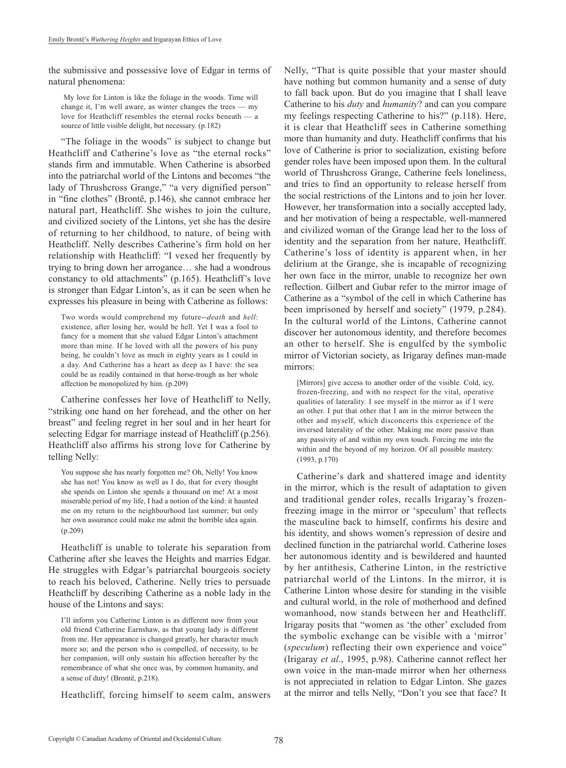the submissive and possessive love of Edgar in terms of natural phenomena:

 My love for Linton is like the foliage in the woods. Time will change it, I'm well aware, as winter changes the trees — my love for Heathcliff resembles the eternal rocks beneath — a source of little visible delight, but necessary. (p.182)

"The foliage in the woods" is subject to change but Heathcliff and Catherine's love as "the eternal rocks" stands firm and immutable. When Catherine is absorbed into the patriarchal world of the Lintons and becomes "the lady of Thrushcross Grange," "a very dignified person" in "fine clothes" (Brontë, p.146), she cannot embrace her natural part, Heathcliff. She wishes to join the culture, and civilized society of the Lintons, yet she has the desire of returning to her childhood, to nature, of being with Heathcliff. Nelly describes Catherine's firm hold on her relationship with Heathcliff: "I vexed her frequently by trying to bring down her arrogance… she had a wondrous constancy to old attachments" (p.165). Heathcliff's love is stronger than Edgar Linton's, as it can be seen when he expresses his pleasure in being with Catherine as follows:

Two words would comprehend my future--*death* and *hell*: existence, after losing her, would be hell. Yet I was a fool to fancy for a moment that she valued Edgar Linton's attachment more than mine. If he loved with all the powers of his puny being, he couldn't love as much in eighty years as I could in a day. And Catherine has a heart as deep as I have: the sea could be as readily contained in that horse-trough as her whole affection be monopolized by him. (p.209)

Catherine confesses her love of Heathcliff to Nelly, "striking one hand on her forehead, and the other on her breast" and feeling regret in her soul and in her heart for selecting Edgar for marriage instead of Heathcliff (p.256). Heathcliff also affirms his strong love for Catherine by telling Nelly:

You suppose she has nearly forgotten me? Oh, Nelly! You know she has not! You know as well as I do, that for every thought she spends on Linton she spends a thousand on me! At a most miserable period of my life, I had a notion of the kind: it haunted me on my return to the neighbourhood last summer; but only her own assurance could make me admit the horrible idea again. (p.209)

Heathcliff is unable to tolerate his separation from Catherine after she leaves the Heights and marries Edgar. He struggles with Edgar's patriarchal bourgeois society to reach his beloved, Catherine. Nelly tries to persuade Heathcliff by describing Catherine as a noble lady in the house of the Lintons and says:

I'll inform you Catherine Linton is as different now from your old friend Catherine Earnshaw, as that young lady is different from me. Her appearance is changed greatly, her character much more so; and the person who is compelled, of necessity, to be her companion, will only sustain his affection hereafter by the remembrance of what she once was, by common humanity, and a sense of duty! (Brontë, p.218).

Heathcliff, forcing himself to seem calm, answers

Nelly, "That is quite possible that your master should have nothing but common humanity and a sense of duty to fall back upon. But do you imagine that I shall leave Catherine to his *duty* and *humanity*? and can you compare my feelings respecting Catherine to his?" (p.118). Here, it is clear that Heathcliff sees in Catherine something more than humanity and duty. Heathcliff confirms that his love of Catherine is prior to socialization, existing before gender roles have been imposed upon them. In the cultural world of Thrushcross Grange, Catherine feels loneliness, and tries to find an opportunity to release herself from the social restrictions of the Lintons and to join her lover. However, her transformation into a socially accepted lady, and her motivation of being a respectable, well-mannered and civilized woman of the Grange lead her to the loss of identity and the separation from her nature, Heathcliff. Catherine's loss of identity is apparent when, in her delirium at the Grange, she is incapable of recognizing her own face in the mirror, unable to recognize her own reflection. Gilbert and Gubar refer to the mirror image of Catherine as a "symbol of the cell in which Catherine has been imprisoned by herself and society" (1979, p.284). In the cultural world of the Lintons, Catherine cannot discover her autonomous identity, and therefore becomes an other to herself. She is engulfed by the symbolic mirror of Victorian society, as Irigaray defines man-made mirrors:

[Mirrors] give access to another order of the visible. Cold, icy, frozen-freezing, and with no respect for the vital, operative qualities of laterality. I see myself in the mirror as if I were an other. I put that other that I am in the mirror between the other and myself, which disconcerts this experience of the inversed laterality of the other. Making me more passive than any passivity of and within my own touch. Forcing me into the within and the beyond of my horizon. Of all possible mastery. (1993, p.170)

Catherine's dark and shattered image and identity in the mirror, which is the result of adaptation to given and traditional gender roles, recalls Irigaray's frozenfreezing image in the mirror or 'speculum' that reflects the masculine back to himself, confirms his desire and his identity, and shows women's repression of desire and declined function in the patriarchal world. Catherine loses her autonomous identity and is bewildered and haunted by her antithesis, Catherine Linton, in the restrictive patriarchal world of the Lintons. In the mirror, it is Catherine Linton whose desire for standing in the visible and cultural world, in the role of motherhood and defined womanhood, now stands between her and Heathcliff. Irigaray posits that "women as 'the other' excluded from the symbolic exchange can be visible with a 'mirror' (*speculum*) reflecting their own experience and voice" (Irigaray *et al*., 1995, p.98). Catherine cannot reflect her own voice in the man-made mirror when her otherness is not appreciated in relation to Edgar Linton. She gazes at the mirror and tells Nelly, "Don't you see that face? It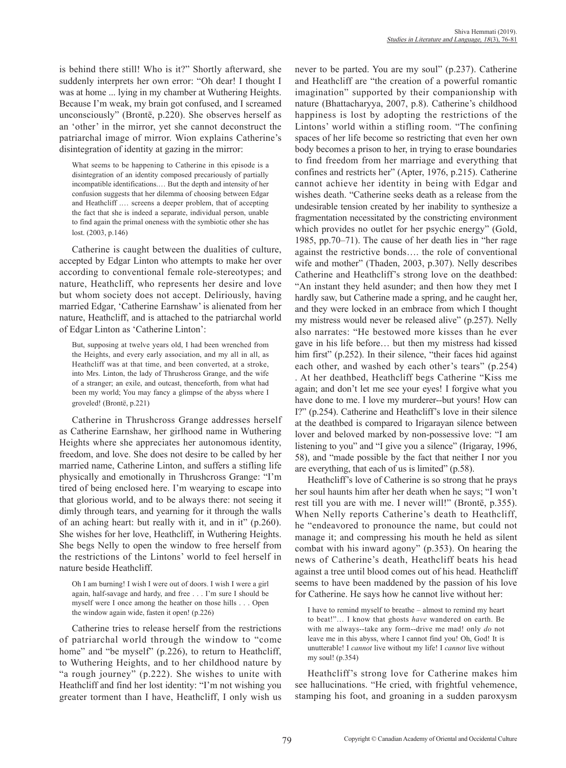is behind there still! Who is it?" Shortly afterward, she suddenly interprets her own error: "Oh dear! I thought I was at home ... lying in my chamber at Wuthering Heights. Because I'm weak, my brain got confused, and I screamed unconsciously" (Brontë, p.220). She observes herself as an 'other' in the mirror, yet she cannot deconstruct the patriarchal image of mirror. Wion explains Catherine's disintegration of identity at gazing in the mirror:

What seems to be happening to Catherine in this episode is a disintegration of an identity composed precariously of partially incompatible identifications.… But the depth and intensity of her confusion suggests that her dilemma of choosing between Edgar and Heathcliff .… screens a deeper problem, that of accepting the fact that she is indeed a separate, individual person, unable to find again the primal oneness with the symbiotic other she has lost. (2003, p.146)

Catherine is caught between the dualities of culture, accepted by Edgar Linton who attempts to make her over according to conventional female role-stereotypes; and nature, Heathcliff, who represents her desire and love but whom society does not accept. Deliriously, having married Edgar, 'Catherine Earnshaw' is alienated from her nature, Heathcliff, and is attached to the patriarchal world of Edgar Linton as 'Catherine Linton':

But, supposing at twelve years old, I had been wrenched from the Heights, and every early association, and my all in all, as Heathcliff was at that time, and been converted, at a stroke, into Mrs. Linton, the lady of Thrushcross Grange, and the wife of a stranger; an exile, and outcast, thenceforth, from what had been my world; You may fancy a glimpse of the abyss where I groveled! (Brontë, p.221)

Catherine in Thrushcross Grange addresses herself as Catherine Earnshaw, her girlhood name in Wuthering Heights where she appreciates her autonomous identity, freedom, and love. She does not desire to be called by her married name, Catherine Linton, and suffers a stifling life physically and emotionally in Thrushcross Grange: "I'm tired of being enclosed here. I'm wearying to escape into that glorious world, and to be always there: not seeing it dimly through tears, and yearning for it through the walls of an aching heart: but really with it, and in it" (p.260). She wishes for her love, Heathcliff, in Wuthering Heights. She begs Nelly to open the window to free herself from the restrictions of the Lintons' world to feel herself in nature beside Heathcliff.

Oh I am burning! I wish I were out of doors. I wish I were a girl again, half-savage and hardy, and free . . . I'm sure I should be myself were I once among the heather on those hills . . . Open the window again wide, fasten it open! (p.226)

Catherine tries to release herself from the restrictions of patriarchal world through the window to "come home" and "be myself" (p.226), to return to Heathcliff, to Wuthering Heights, and to her childhood nature by "a rough journey" (p.222). She wishes to unite with Heathcliff and find her lost identity: "I'm not wishing you greater torment than I have, Heathcliff, I only wish us

never to be parted. You are my soul" (p.237). Catherine and Heathcliff are "the creation of a powerful romantic imagination" supported by their companionship with nature (Bhattacharyya, 2007, p.8). Catherine's childhood happiness is lost by adopting the restrictions of the Lintons' world within a stifling room. "The confining spaces of her life become so restricting that even her own body becomes a prison to her, in trying to erase boundaries to find freedom from her marriage and everything that confines and restricts her" (Apter, 1976, p.215). Catherine cannot achieve her identity in being with Edgar and wishes death. "Catherine seeks death as a release from the undesirable tension created by her inability to synthesize a fragmentation necessitated by the constricting environment which provides no outlet for her psychic energy" (Gold, 1985, pp.70–71). The cause of her death lies in "her rage against the restrictive bonds…. the role of conventional wife and mother" (Thaden, 2003, p.307). Nelly describes Catherine and Heathcliff's strong love on the deathbed: "An instant they held asunder; and then how they met I hardly saw, but Catherine made a spring, and he caught her, and they were locked in an embrace from which I thought my mistress would never be released alive" (p.257). Nelly also narrates: "He bestowed more kisses than he ever gave in his life before… but then my mistress had kissed him first" (p.252). In their silence, "their faces hid against each other, and washed by each other's tears" (p.254) . At her deathbed, Heathcliff begs Catherine "Kiss me again; and don't let me see your eyes! I forgive what you have done to me. I love my murderer--but yours! How can I?" (p.254). Catherine and Heathcliff's love in their silence at the deathbed is compared to Irigarayan silence between lover and beloved marked by non-possessive love: "I am listening to you" and "I give you a silence" (Irigaray, 1996, 58), and "made possible by the fact that neither I nor you are everything, that each of us is limited" (p.58).

Heathcliff's love of Catherine is so strong that he prays her soul haunts him after her death when he says; "I won't rest till you are with me. I never will!" (Brontë, p.355). When Nelly reports Catherine's death to Heathcliff, he "endeavored to pronounce the name, but could not manage it; and compressing his mouth he held as silent combat with his inward agony" (p.353). On hearing the news of Catherine's death, Heathcliff beats his head against a tree until blood comes out of his head. Heathcliff seems to have been maddened by the passion of his love for Catherine. He says how he cannot live without her:

I have to remind myself to breathe – almost to remind my heart to beat!"… I know that ghosts *have* wandered on earth. Be with me always--take any form--drive me mad! only *do* not leave me in this abyss, where I cannot find you! Oh, God! It is unutterable! I *cannot* live without my life! I *cannot* live without my soul! (p.354)

Heathcliff's strong love for Catherine makes him see hallucinations. "He cried, with frightful vehemence, stamping his foot, and groaning in a sudden paroxysm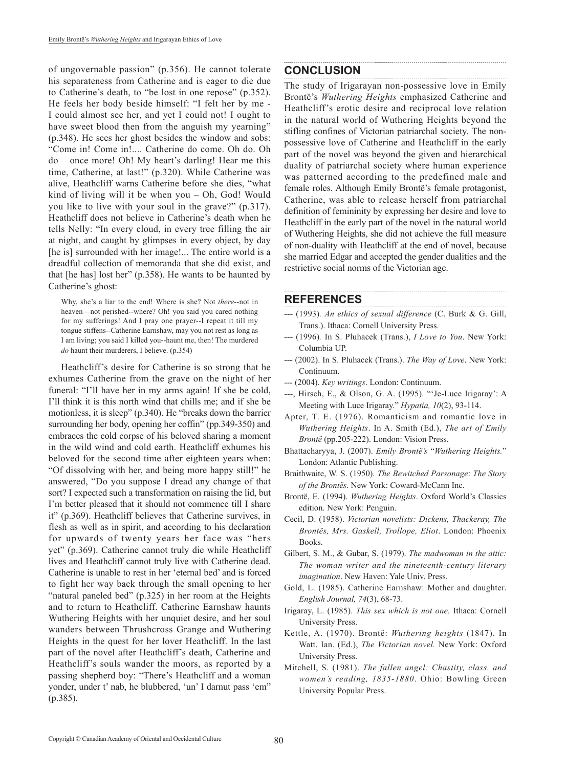of ungovernable passion" (p.356). He cannot tolerate his separateness from Catherine and is eager to die due to Catherine's death, to "be lost in one repose" (p.352). He feels her body beside himself: "I felt her by me - I could almost see her, and yet I could not! I ought to have sweet blood then from the anguish my yearning" (p.348). He sees her ghost besides the window and sobs: "Come in! Come in!.... Catherine do come. Oh do. Oh do – once more! Oh! My heart's darling! Hear me this time, Catherine, at last!" (p.320). While Catherine was alive, Heathcliff warns Catherine before she dies, "what kind of living will it be when you – Oh, God! Would you like to live with your soul in the grave?" (p.317). Heathcliff does not believe in Catherine's death when he tells Nelly: "In every cloud, in every tree filling the air at night, and caught by glimpses in every object, by day [he is] surrounded with her image!... The entire world is a dreadful collection of memoranda that she did exist, and that [he has] lost her" (p.358). He wants to be haunted by Catherine's ghost:

Why, she's a liar to the end! Where is she? Not *there*--not in heaven—not perished--where? Oh! you said you cared nothing for my sufferings! And I pray one prayer--I repeat it till my tongue stiffens--Catherine Earnshaw, may you not rest as long as I am living; you said I killed you--haunt me, then! The murdered *do* haunt their murderers, I believe. (p.354)

Heathcliff's desire for Catherine is so strong that he exhumes Catherine from the grave on the night of her funeral: "I'll have her in my arms again! If she be cold, I'll think it is this north wind that chills me; and if she be motionless, it is sleep" (p.340). He "breaks down the barrier surrounding her body, opening her coffin" (pp.349-350) and embraces the cold corpse of his beloved sharing a moment in the wild wind and cold earth. Heathcliff exhumes his beloved for the second time after eighteen years when: "Of dissolving with her, and being more happy still!" he answered, "Do you suppose I dread any change of that sort? I expected such a transformation on raising the lid, but I'm better pleased that it should not commence till I share it" (p.369). Heathcliff believes that Catherine survives, in flesh as well as in spirit, and according to his declaration for upwards of twenty years her face was "hers yet" (p.369). Catherine cannot truly die while Heathcliff lives and Heathcliff cannot truly live with Catherine dead. Catherine is unable to rest in her 'eternal bed' and is forced to fight her way back through the small opening to her "natural paneled bed" (p.325) in her room at the Heights and to return to Heathcliff. Catherine Earnshaw haunts Wuthering Heights with her unquiet desire, and her soul wanders between Thrushcross Grange and Wuthering Heights in the quest for her lover Heathcliff. In the last part of the novel after Heathcliff's death, Catherine and Heathcliff's souls wander the moors, as reported by a passing shepherd boy: "There's Heathcliff and a woman yonder, under t' nab, he blubbered, 'un' I darnut pass 'em" (p.385).

### **Conclusion**

The study of Irigarayan non-possessive love in Emily Brontë's *Wuthering Heights* emphasized Catherine and Heathcliff's erotic desire and reciprocal love relation in the natural world of Wuthering Heights beyond the stifling confines of Victorian patriarchal society. The nonpossessive love of Catherine and Heathcliff in the early part of the novel was beyond the given and hierarchical duality of patriarchal society where human experience was patterned according to the predefined male and female roles. Although Emily Brontë's female protagonist, Catherine, was able to release herself from patriarchal definition of femininity by expressing her desire and love to Heathcliff in the early part of the novel in the natural world of Wuthering Heights, she did not achieve the full measure of non-duality with Heathcliff at the end of novel, because she married Edgar and accepted the gender dualities and the restrictive social norms of the Victorian age.

#### **REFERENCES**

*---* (1993)*. An ethics of sexual difference* (C. Burk & G. Gill, Trans.). Ithaca: Cornell University Press.

- *---* (1996)*.* In S. Pluhacek (Trans.), *I Love to You*. New York: Columbia UP.
- --- (2002). In S. Pluhacek (Trans.). *The Way of Love*. New York: Continuum.
- --- (2004). *Key writings*. London: Continuum.
- ---, Hirsch, E., & Olson, G. A. (1995). "'Je-Luce Irigaray': A Meeting with Luce Irigaray." *Hypatia, 10*(2), 93-114.
- Apter, T. E. (1976). Romanticism and romantic love in *Wuthering Heights*. In A. Smith (Ed.), *The art of Emily Brontë* (pp.205-222). London: Vision Press.
- Bhattacharyya, J. (2007). *Emily Brontë's* "*Wuthering Heights.*" London: Atlantic Publishing.
- Braithwaite, W. S. (1950). *The Bewitched Parsonage*: *The Story of the Brontës*. New York: Coward-McCann Inc.
- Brontë, E. (1994). *Wuthering Heights*. Oxford World's Classics edition. New York: Penguin.
- Cecil, D. (1958). *Victorian novelists: Dickens, Thackeray, The Brontës, Mrs. Gaskell, Trollope, Eliot*. London: Phoenix Books.
- Gilbert, S. M., & Gubar, S. (1979). *The madwoman in the attic: The woman writer and the nineteenth-century literary imagination*. New Haven: Yale Univ. Press.
- Gold, L. (1985). Catherine Earnshaw: Mother and daughter. *English Journal, 74*(3), 68-73.
- Irigaray, L. (1985). *This sex which is not one.* Ithaca: Cornell University Press.
- Kettle, A. (1970). Brontë: *Wuthering heights* (1847). In Watt. Ian. (Ed.), *The Victorian novel.* New York: Oxford University Press.
- Mitchell, S. (1981). *The fallen angel: Chastity, class, and women's reading, 1835-1880*. Ohio: Bowling Green University Popular Press.